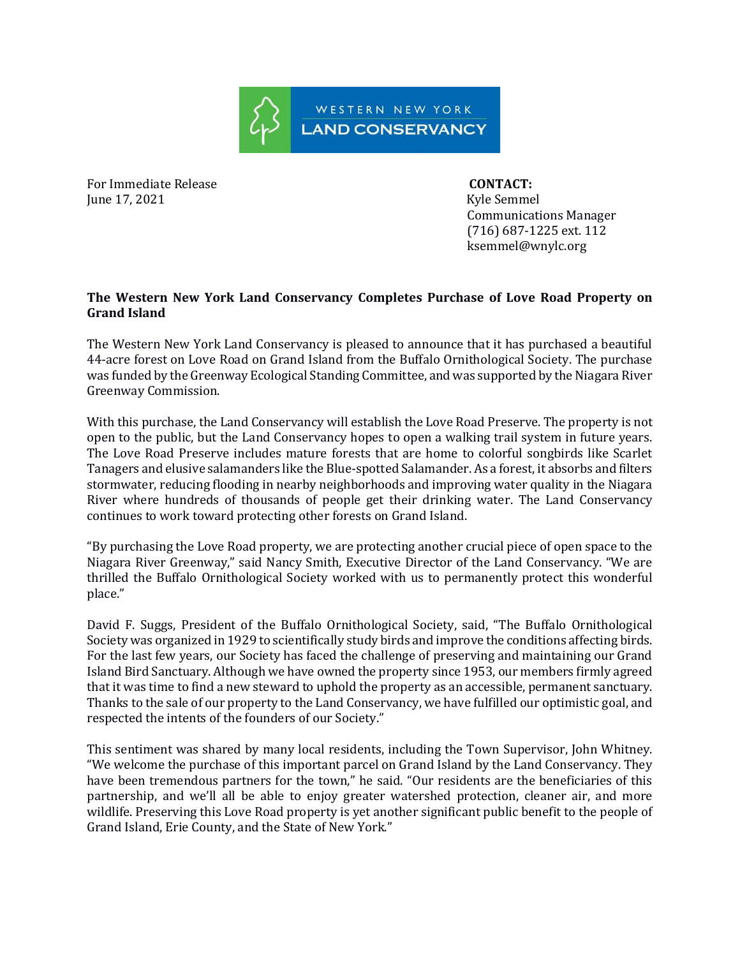

For Immediate Release **CONTACT:** June 17, 2021 Kyle Semmel

 Communications Manager (716) 687-1225 ext. 112 ksemmel@wnylc.org

## **The Western New York Land Conservancy Completes Purchase of Love Road Property on Grand Island**

The Western New York Land Conservancy is pleased to announce that it has purchased a beautiful 44-acre forest on Love Road on Grand Island from the Buffalo Ornithological Society. The purchase was funded by the Greenway Ecological Standing Committee, and was supported by the Niagara River Greenway Commission.

With this purchase, the Land Conservancy will establish the Love Road Preserve. The property is not open to the public, but the Land Conservancy hopes to open a walking trail system in future years. The Love Road Preserve includes mature forests that are home to colorful songbirds like Scarlet Tanagers and elusive salamanders like the Blue-spotted Salamander. As a forest, it absorbs and filters stormwater, reducing flooding in nearby neighborhoods and improving water quality in the Niagara River where hundreds of thousands of people get their drinking water. The Land Conservancy continues to work toward protecting other forests on Grand Island.

"By purchasing the Love Road property, we are protecting another crucial piece of open space to the Niagara River Greenway," said Nancy Smith, Executive Director of the Land Conservancy. "We are thrilled the Buffalo Ornithological Society worked with us to permanently protect this wonderful place."

David F. Suggs, President of the Buffalo Ornithological Society, said, "The Buffalo Ornithological Society was organized in 1929 to scientifically study birds and improve the conditions affecting birds. For the last few years, our Society has faced the challenge of preserving and maintaining our Grand Island Bird Sanctuary. Although we have owned the property since 1953, our members firmly agreed that it was time to find a new steward to uphold the property as an accessible, permanent sanctuary. Thanks to the sale of our property to the Land Conservancy, we have fulfilled our optimistic goal, and respected the intents of the founders of our Society."

This sentiment was shared by many local residents, including the Town Supervisor, John Whitney. "We welcome the purchase of this important parcel on Grand Island by the Land Conservancy. They have been tremendous partners for the town," he said. "Our residents are the beneficiaries of this partnership, and we'll all be able to enjoy greater watershed protection, cleaner air, and more wildlife. Preserving this Love Road property is yet another significant public benefit to the people of Grand Island, Erie County, and the State of New York."